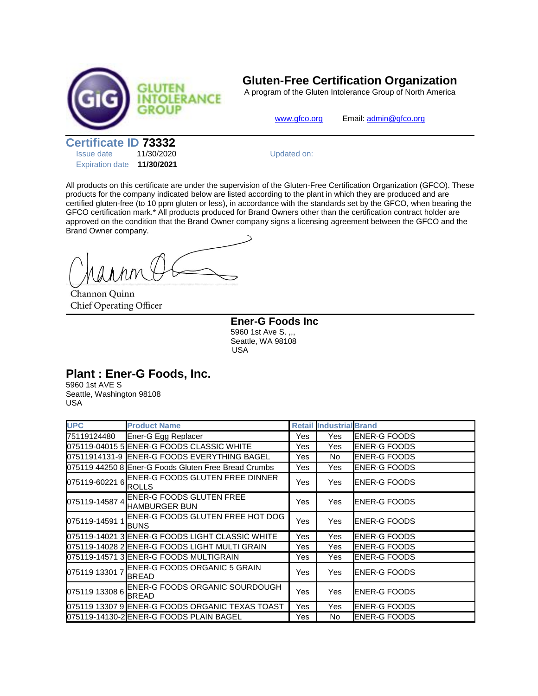

## **Gluten-Free Certification Organization**

A program of the Gluten Intolerance Group of North America

[www.gfco.org](http://www.gfco.org/) Email[: admin@gfco.org](mailto:admin@gfco.org)

**Certificate ID 73332**

| <b>Issue date</b>      | 11/30/2020 |  |  |
|------------------------|------------|--|--|
| <b>Expiration date</b> | 11/30/2021 |  |  |

Updated on:

All products on this certificate are under the supervision of the Gluten-Free Certification Organization (GFCO). These products for the company indicated below are listed according to the plant in which they are produced and are certified gluten-free (to 10 ppm gluten or less), in accordance with the standards set by the GFCO, when bearing the GFCO certification mark.\* All products produced for Brand Owners other than the certification contract holder are approved on the condition that the Brand Owner company signs a licensing agreement between the GFCO and the Brand Owner company.

Channon Quinn Chief Operating Officer

**Ener-G Foods Inc** 5960 1st Ave S. ,,, Seattle, WA 98108 USA

## **Plant : Ener-G Foods, Inc.**

5960 1st AVE S Seattle, Washington 98108 USA

| <b>UPC</b>     | <b>Product Name</b>                                     |     | <b>Retail Industrial Brand</b> |                     |
|----------------|---------------------------------------------------------|-----|--------------------------------|---------------------|
| 75119124480    | Ener-G Egg Replacer                                     | Yes | Yes                            | <b>ENER-G FOODS</b> |
|                | 075119-04015 5 ENER-G FOODS CLASSIC WHITE               | Yes | Yes                            | <b>ENER-G FOODS</b> |
|                | 07511914131-9 IENER-G FOODS EVERYTHING BAGEL            | Yes | No.                            | <b>ENER-G FOODS</b> |
|                | 075119 44250 8 Ener-G Foods Gluten Free Bread Crumbs    | Yes | Yes                            | <b>ENER-G FOODS</b> |
| 075119-60221 6 | <b>IENER-G FOODS GLUTEN FREE DINNER</b><br><b>ROLLS</b> | Yes | Yes                            | <b>ENER-G FOODS</b> |
| 075119-14587 4 | <b>ENER-G FOODS GLUTEN FREE</b><br><b>HAMBURGER BUN</b> | Yes | Yes                            | <b>ENER-G FOODS</b> |
| 075119-14591 1 | ENER-G FOODS GLUTEN FREE HOT DOG<br><b>BUNS</b>         | Yes | Yes                            | <b>ENER-G FOODS</b> |
|                | 075119-14021 3 ENER-G FOODS LIGHT CLASSIC WHITE         | Yes | Yes                            | <b>ENER-G FOODS</b> |
|                | 075119-14028 2 ENER-G FOODS LIGHT MULTI GRAIN           | Yes | Yes                            | <b>ENER-G FOODS</b> |
|                | 075119-14571 3 ENER-G FOODS MULTIGRAIN                  | Yes | Yes                            | <b>ENER-G FOODS</b> |
| 075119 13301 7 | <b>IENER-G FOODS ORGANIC 5 GRAIN</b><br><b>BREAD</b>    | Yes | Yes                            | <b>ENER-G FOODS</b> |
| 075119 13308 6 | ENER-G FOODS ORGANIC SOURDOUGH<br><b>BREAD</b>          | Yes | Yes                            | <b>ENER-G FOODS</b> |
|                | 075119 13307 9 ENER-G FOODS ORGANIC TEXAS TOAST         | Yes | Yes                            | <b>ENER-G FOODS</b> |
|                | 075119-14130-2 ENER-G FOODS PLAIN BAGEL                 | Yes | No.                            | <b>ENER-G FOODS</b> |